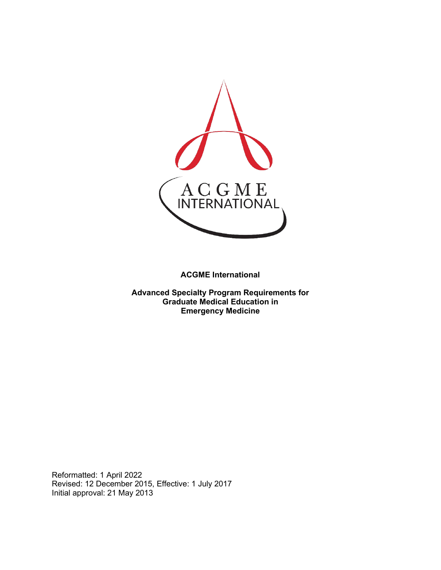

**ACGME International** 

**Advanced Specialty Program Requirements for Graduate Medical Education in Emergency Medicine**

Reformatted: 1 April 2022 Revised: 12 December 2015, Effective: 1 July 2017 Initial approval: 21 May 2013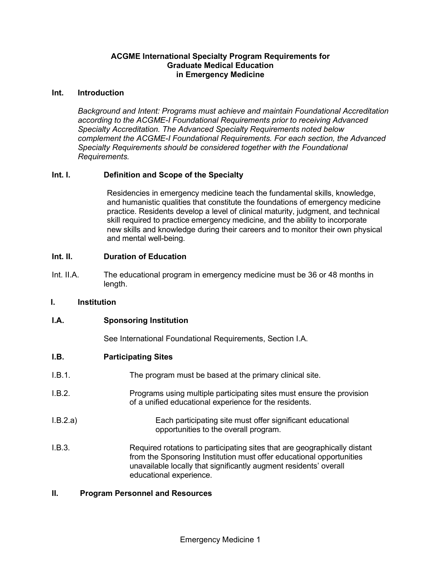## **ACGME International Specialty Program Requirements for Graduate Medical Education in Emergency Medicine**

#### **Int. Introduction**

*Background and Intent: Programs must achieve and maintain Foundational Accreditation according to the ACGME-I Foundational Requirements prior to receiving Advanced Specialty Accreditation. The Advanced Specialty Requirements noted below complement the ACGME-I Foundational Requirements. For each section, the Advanced Specialty Requirements should be considered together with the Foundational Requirements.*

## **Int. I. Definition and Scope of the Specialty**

Residencies in emergency medicine teach the fundamental skills, knowledge, and humanistic qualities that constitute the foundations of emergency medicine practice. Residents develop a level of clinical maturity, judgment, and technical skill required to practice emergency medicine, and the ability to incorporate new skills and knowledge during their careers and to monitor their own physical and mental well-being.

#### **Int. II. Duration of Education**

Int. II.A. The educational program in emergency medicine must be 36 or 48 months in length.

#### **I. Institution**

## **I.A. Sponsoring Institution**

See International Foundational Requirements, Section I.A.

## **I.B. Participating Sites**

- I.B.1. The program must be based at the primary clinical site.
- I.B.2. Programs using multiple participating sites must ensure the provision of a unified educational experience for the residents.
- I.B.2.a) Each participating site must offer significant educational opportunities to the overall program.
- I.B.3. Required rotations to participating sites that are geographically distant from the Sponsoring Institution must offer educational opportunities unavailable locally that significantly augment residents' overall educational experience.

#### **II. Program Personnel and Resources**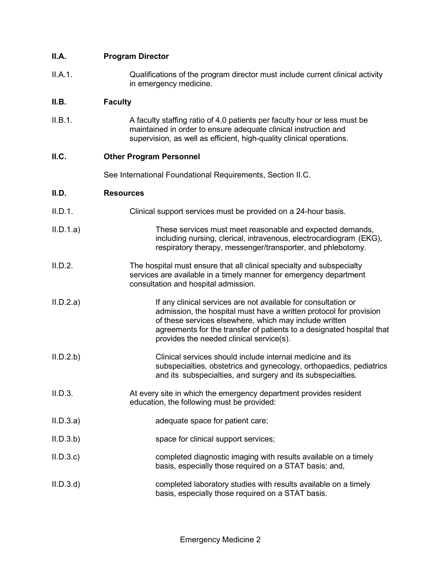# **II.A. Program Director**

II.A.1. Qualifications of the program director must include current clinical activity in emergency medicine.

## **II.B. Faculty**

II.B.1. A faculty staffing ratio of 4.0 patients per faculty hour or less must be maintained in order to ensure adequate clinical instruction and supervision, as well as efficient, high-quality clinical operations.

## **II.C. Other Program Personnel**

See International Foundational Requirements, Section II.C.

#### **II.D. Resources**

- II.D.1. Clinical support services must be provided on a 24-hour basis.
- II.D.1.a) These services must meet reasonable and expected demands, including nursing, clerical, intravenous, electrocardiogram (EKG), respiratory therapy, messenger/transporter, and phlebotomy.
- II.D.2. The hospital must ensure that all clinical specialty and subspecialty services are available in a timely manner for emergency department consultation and hospital admission.
- II.D.2.a) If any clinical services are not available for consultation or admission, the hospital must have a written protocol for provision of these services elsewhere, which may include written agreements for the transfer of patients to a designated hospital that provides the needed clinical service(s).
- II.D.2.b) Clinical services should include internal medicine and its subspecialties, obstetrics and gynecology, orthopaedics, pediatrics and its subspecialties, and surgery and its subspecialties.
- II.D.3. At every site in which the emergency department provides resident education, the following must be provided:
- II.D.3.a) adequate space for patient care;
- II.D.3.b) space for clinical support services;
- II.D.3.c) completed diagnostic imaging with results available on a timely basis, especially those required on a STAT basis; and,
- II.D.3.d) completed laboratory studies with results available on a timely basis, especially those required on a STAT basis.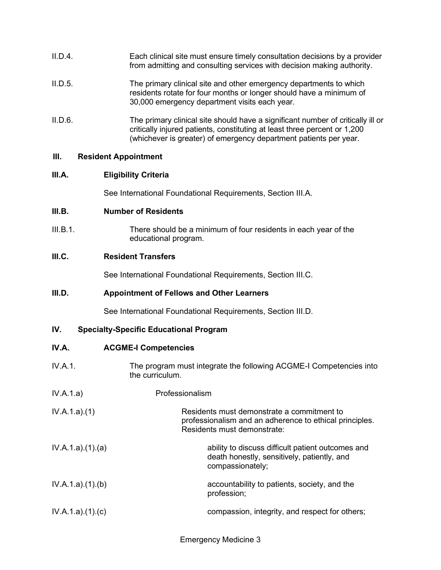| II.D.4. | Each clinical site must ensure timely consultation decisions by a provider |
|---------|----------------------------------------------------------------------------|
|         | from admitting and consulting services with decision making authority.     |

- II.D.5. The primary clinical site and other emergency departments to which residents rotate for four months or longer should have a minimum of 30,000 emergency department visits each year.
- II.D.6. The primary clinical site should have a significant number of critically ill or critically injured patients, constituting at least three percent or 1,200 (whichever is greater) of emergency department patients per year.

#### **III. Resident Appointment**

## **III.A. Eligibility Criteria**

See International Foundational Requirements, Section III.A.

#### **III.B. Number of Residents**

III.B.1. There should be a minimum of four residents in each year of the educational program.

## **III.C. Resident Transfers**

See International Foundational Requirements, Section III.C.

### **III.D. Appointment of Fellows and Other Learners**

See International Foundational Requirements, Section III.D.

## **IV. Specialty-Specific Educational Program**

- **IV.A. ACGME-I Competencies**
- IV.A.1. The program must integrate the following ACGME-I Competencies into the curriculum.
- IV.A.1.a) Professionalism
- IV.A.1.a).(1) Residents must demonstrate a commitment to professionalism and an adherence to ethical principles. Residents must demonstrate:
- IV.A.1.a).(1).(a) ability to discuss difficult patient outcomes and  $\blacksquare$ death honestly, sensitively, patiently, and compassionately;
- IV.A.1.a).(1).(b) accountability to patients, society, and the profession;
- IV.A.1.a).(1).(c) compassion, integrity, and respect for others;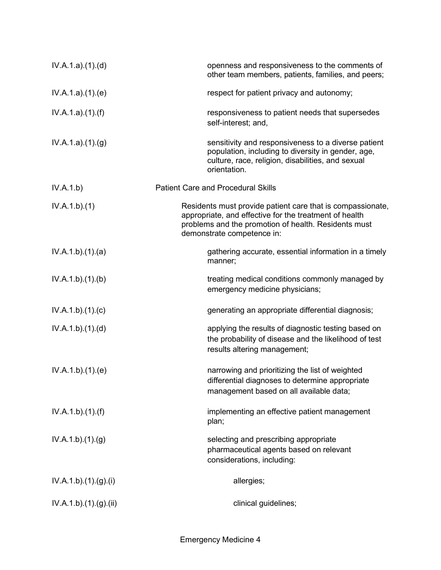| IV.A.1.a)(1)(d)     | openness and responsiveness to the comments of<br>other team members, patients, families, and peers;                                                                                                       |
|---------------------|------------------------------------------------------------------------------------------------------------------------------------------------------------------------------------------------------------|
| IV.A.1.a)(1)(e)     | respect for patient privacy and autonomy;                                                                                                                                                                  |
| IV.A.1.a)(1)(f)     | responsiveness to patient needs that supersedes<br>self-interest; and,                                                                                                                                     |
| IV.A.1.a)(1)(g)     | sensitivity and responsiveness to a diverse patient<br>population, including to diversity in gender, age,<br>culture, race, religion, disabilities, and sexual<br>orientation.                             |
| IV.A.1.b)           | <b>Patient Care and Procedural Skills</b>                                                                                                                                                                  |
| IV.A.1.b)(1)        | Residents must provide patient care that is compassionate,<br>appropriate, and effective for the treatment of health<br>problems and the promotion of health. Residents must<br>demonstrate competence in: |
| IV.A.1.b)(1)(a)     | gathering accurate, essential information in a timely<br>manner;                                                                                                                                           |
| IV.A.1.b)(1)(b)     | treating medical conditions commonly managed by<br>emergency medicine physicians;                                                                                                                          |
| IV.A.1.b)(1)(c)     | generating an appropriate differential diagnosis;                                                                                                                                                          |
| IV.A.1.b)(1)(d)     | applying the results of diagnostic testing based on<br>the probability of disease and the likelihood of test<br>results altering management;                                                               |
| IV.A.1.b)(1)(e)     | narrowing and prioritizing the list of weighted<br>differential diagnoses to determine appropriate<br>management based on all available data;                                                              |
| IV.A.1.b)(1)(f)     | implementing an effective patient management<br>plan;                                                                                                                                                      |
| IV.A.1.b)(1)(g)     | selecting and prescribing appropriate<br>pharmaceutical agents based on relevant<br>considerations, including:                                                                                             |
| IV.A.1.b)(1)(g)(i)  | allergies;                                                                                                                                                                                                 |
| IV.A.1.b)(1)(g)(ii) | clinical guidelines;                                                                                                                                                                                       |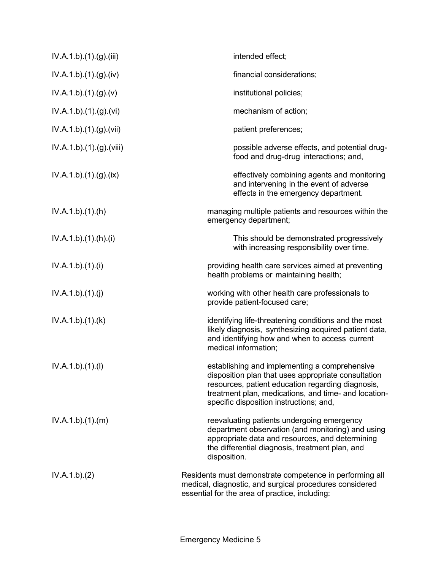| IV.A.1.b)(1)(g)(iii)    | intended effect;                                                                                                                                                                                                                                             |
|-------------------------|--------------------------------------------------------------------------------------------------------------------------------------------------------------------------------------------------------------------------------------------------------------|
| IV.A.1.b)(1)(g)(iv)     | financial considerations;                                                                                                                                                                                                                                    |
| IV.A.1.b)(1)(g)(v)      | institutional policies;                                                                                                                                                                                                                                      |
| IV.A.1.b)(1)(g)(vi)     | mechanism of action;                                                                                                                                                                                                                                         |
| IV.A.1.b).(1).(g).(vii) | patient preferences;                                                                                                                                                                                                                                         |
| IV.A.1.b)(1)(g)(viii)   | possible adverse effects, and potential drug-<br>food and drug-drug interactions; and,                                                                                                                                                                       |
| IV.A.1.b)(1)(g)(ix)     | effectively combining agents and monitoring<br>and intervening in the event of adverse<br>effects in the emergency department.                                                                                                                               |
| IV.A.1.b)(1)(h)         | managing multiple patients and resources within the<br>emergency department;                                                                                                                                                                                 |
| IV.A.1.b)(1).(h)(i)     | This should be demonstrated progressively<br>with increasing responsibility over time.                                                                                                                                                                       |
| IV.A.1.b)(1)(i)         | providing health care services aimed at preventing<br>health problems or maintaining health;                                                                                                                                                                 |
| IV.A.1.b)(1)(j)         | working with other health care professionals to<br>provide patient-focused care;                                                                                                                                                                             |
| IV.A.1.b)(1)(k)         | identifying life-threatening conditions and the most<br>likely diagnosis, synthesizing acquired patient data,<br>and identifying how and when to access current<br>medical information;                                                                      |
| IV.A.1.b)(1)(I)         | establishing and implementing a comprehensive<br>disposition plan that uses appropriate consultation<br>resources, patient education regarding diagnosis,<br>treatment plan, medications, and time- and location-<br>specific disposition instructions; and, |
| IV.A.1.b)(1)(m)         | reevaluating patients undergoing emergency<br>department observation (and monitoring) and using<br>appropriate data and resources, and determining<br>the differential diagnosis, treatment plan, and<br>disposition.                                        |
| IV.A.1.b)(2)            | Residents must demonstrate competence in performing all<br>medical, diagnostic, and surgical procedures considered<br>essential for the area of practice, including:                                                                                         |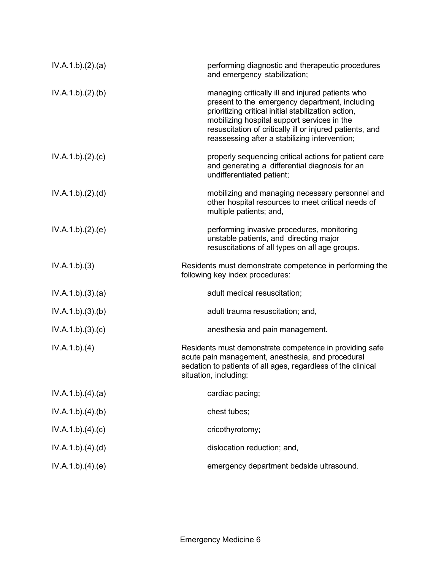| IV.A.1.b)(2).(a) | performing diagnostic and therapeutic procedures<br>and emergency stabilization;                                                                                                                                                                                                                                      |
|------------------|-----------------------------------------------------------------------------------------------------------------------------------------------------------------------------------------------------------------------------------------------------------------------------------------------------------------------|
| IV.A.1.b)(2)(b)  | managing critically ill and injured patients who<br>present to the emergency department, including<br>prioritizing critical initial stabilization action,<br>mobilizing hospital support services in the<br>resuscitation of critically ill or injured patients, and<br>reassessing after a stabilizing intervention; |
| IV.A.1.b)(2).(c) | properly sequencing critical actions for patient care<br>and generating a differential diagnosis for an<br>undifferentiated patient;                                                                                                                                                                                  |
| IV.A.1.b)(2).(d) | mobilizing and managing necessary personnel and<br>other hospital resources to meet critical needs of<br>multiple patients; and,                                                                                                                                                                                      |
| IV.A.1.b)(2)(e)  | performing invasive procedures, monitoring<br>unstable patients, and directing major<br>resuscitations of all types on all age groups.                                                                                                                                                                                |
| IV.A.1.b)(3)     | Residents must demonstrate competence in performing the<br>following key index procedures:                                                                                                                                                                                                                            |
| IV.A.1.b)(3)(a)  | adult medical resuscitation;                                                                                                                                                                                                                                                                                          |
| IV.A.1.b)(3)(b)  | adult trauma resuscitation; and,                                                                                                                                                                                                                                                                                      |
| IV.A.1.b)(3)(c)  | anesthesia and pain management.                                                                                                                                                                                                                                                                                       |
| IV.A.1.b)(4)     | Residents must demonstrate competence in providing safe<br>acute pain management, anesthesia, and procedural<br>sedation to patients of all ages, regardless of the clinical<br>situation, including:                                                                                                                 |
| IV.A.1.b)(4)(a)  | cardiac pacing;                                                                                                                                                                                                                                                                                                       |
| IV.A.1.b)(4)(b)  | chest tubes;                                                                                                                                                                                                                                                                                                          |
| IV.A.1.b)(4)(c)  | cricothyrotomy;                                                                                                                                                                                                                                                                                                       |
| IV.A.1.b)(4)(d)  | dislocation reduction; and,                                                                                                                                                                                                                                                                                           |
| IV.A.1.b)(4)(e)  | emergency department bedside ultrasound.                                                                                                                                                                                                                                                                              |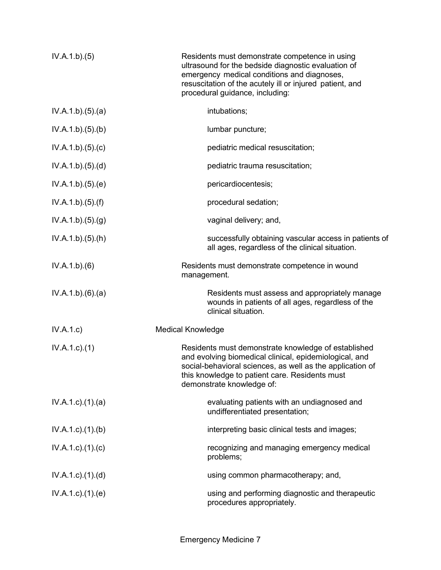| IV.A.1.b)(5)              | Residents must demonstrate competence in using<br>ultrasound for the bedside diagnostic evaluation of<br>emergency medical conditions and diagnoses,<br>resuscitation of the acutely ill or injured patient, and<br>procedural guidance, including:       |
|---------------------------|-----------------------------------------------------------------------------------------------------------------------------------------------------------------------------------------------------------------------------------------------------------|
| IV.A.1.b)(5).(a)          | intubations;                                                                                                                                                                                                                                              |
| IV.A.1.b)(5)(b)           | lumbar puncture;                                                                                                                                                                                                                                          |
| IV.A.1.b)(5)(c)           | pediatric medical resuscitation;                                                                                                                                                                                                                          |
| IV.A.1.b)(5)(d)           | pediatric trauma resuscitation;                                                                                                                                                                                                                           |
| IV.A.1.b)(5)(e)           | pericardiocentesis;                                                                                                                                                                                                                                       |
| IV.A.1.b)(5)(f)           | procedural sedation;                                                                                                                                                                                                                                      |
| IV.A.1.b)(5)(g)           | vaginal delivery; and,                                                                                                                                                                                                                                    |
| IV.A.1.b)(5)(h)           | successfully obtaining vascular access in patients of<br>all ages, regardless of the clinical situation.                                                                                                                                                  |
| IV.A.1.b)(6)              | Residents must demonstrate competence in wound<br>management.                                                                                                                                                                                             |
| IV.A.1.b)(6)(a)           | Residents must assess and appropriately manage<br>wounds in patients of all ages, regardless of the<br>clinical situation.                                                                                                                                |
| IV.A.1.c)                 | <b>Medical Knowledge</b>                                                                                                                                                                                                                                  |
| $IV.A.1.c.$ (1)           | Residents must demonstrate knowledge of established<br>and evolving biomedical clinical, epidemiological, and<br>social-behavioral sciences, as well as the application of<br>this knowledge to patient care. Residents must<br>demonstrate knowledge of: |
| $IV.A.1.c$ . $(1).$ $(a)$ | evaluating patients with an undiagnosed and<br>undifferentiated presentation;                                                                                                                                                                             |
| $IV.A.1.c$ . $(1).$ (b)   | interpreting basic clinical tests and images;                                                                                                                                                                                                             |
| $IV.A.1.c$ ). $(1).$ (c)  | recognizing and managing emergency medical<br>problems;                                                                                                                                                                                                   |
| $IV.A.1.c$ . $(1).$ $(d)$ | using common pharmacotherapy; and,                                                                                                                                                                                                                        |
| $IV.A.1.c$ . $(1).$ (e)   | using and performing diagnostic and therapeutic<br>procedures appropriately.                                                                                                                                                                              |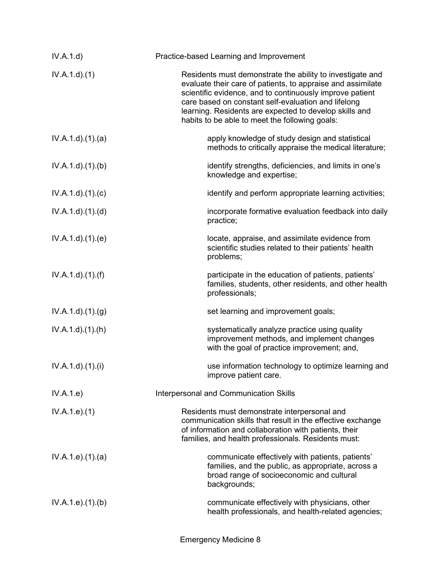| IV.A.1.d)              | Practice-based Learning and Improvement                                                                                                                                                                                                                                                                                                                 |
|------------------------|---------------------------------------------------------------------------------------------------------------------------------------------------------------------------------------------------------------------------------------------------------------------------------------------------------------------------------------------------------|
| IV.A.1.d)(1)           | Residents must demonstrate the ability to investigate and<br>evaluate their care of patients, to appraise and assimilate<br>scientific evidence, and to continuously improve patient<br>care based on constant self-evaluation and lifelong<br>learning. Residents are expected to develop skills and<br>habits to be able to meet the following goals: |
| IV.A.1.d.(1).(a)       | apply knowledge of study design and statistical<br>methods to critically appraise the medical literature;                                                                                                                                                                                                                                               |
| IV.A.1.d.(1)(b)        | identify strengths, deficiencies, and limits in one's<br>knowledge and expertise;                                                                                                                                                                                                                                                                       |
| IV.A.1.d)(1)(c)        | identify and perform appropriate learning activities;                                                                                                                                                                                                                                                                                                   |
| IV.A.1.d.(1).(d)       | incorporate formative evaluation feedback into daily<br>practice;                                                                                                                                                                                                                                                                                       |
| IV.A.1.d.(1).(e)       | locate, appraise, and assimilate evidence from<br>scientific studies related to their patients' health<br>problems;                                                                                                                                                                                                                                     |
| IV.A.1.d)(1.(f))       | participate in the education of patients, patients'<br>families, students, other residents, and other health<br>professionals;                                                                                                                                                                                                                          |
| IV.A.1.d).(1).(g)      | set learning and improvement goals;                                                                                                                                                                                                                                                                                                                     |
| $IV.A.1.d$ . $(1).(h)$ | systematically analyze practice using quality<br>improvement methods, and implement changes<br>with the goal of practice improvement; and,                                                                                                                                                                                                              |
| IV.A.1.d)(1)(i)        | use information technology to optimize learning and<br>improve patient care.                                                                                                                                                                                                                                                                            |
| IV.A.1.e)              | <b>Interpersonal and Communication Skills</b>                                                                                                                                                                                                                                                                                                           |
| IV.A.1.e. (1)          | Residents must demonstrate interpersonal and<br>communication skills that result in the effective exchange<br>of information and collaboration with patients, their<br>families, and health professionals. Residents must:                                                                                                                              |
| IV.A.1.e).(1).(a)      | communicate effectively with patients, patients'<br>families, and the public, as appropriate, across a<br>broad range of socioeconomic and cultural<br>backgrounds;                                                                                                                                                                                     |
| IV.A.1.e. (1)(b)       | communicate effectively with physicians, other<br>health professionals, and health-related agencies;                                                                                                                                                                                                                                                    |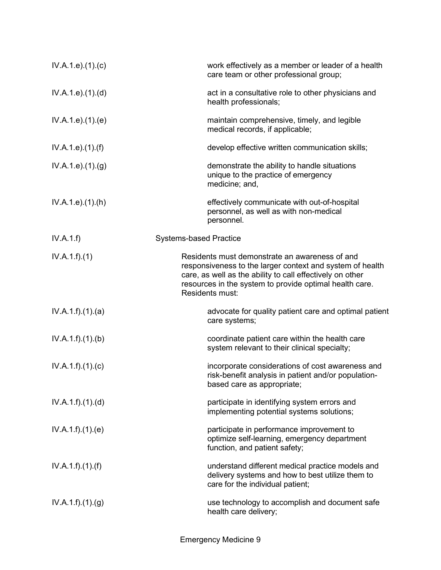| IV.A.1.e. (1). (c)            | work effectively as a member or leader of a health<br>care team or other professional group;                                                                                                                                                           |
|-------------------------------|--------------------------------------------------------------------------------------------------------------------------------------------------------------------------------------------------------------------------------------------------------|
| IV.A.1.e. (1). (d)            | act in a consultative role to other physicians and<br>health professionals;                                                                                                                                                                            |
| IV.A.1.e. (1). (e)            | maintain comprehensive, timely, and legible<br>medical records, if applicable;                                                                                                                                                                         |
| IV.A.1.e. (1). (f)            | develop effective written communication skills;                                                                                                                                                                                                        |
| IV.A.1.e. (1). <sub>(g)</sub> | demonstrate the ability to handle situations<br>unique to the practice of emergency<br>medicine; and,                                                                                                                                                  |
| IV.A.1.e. (1).(h)             | effectively communicate with out-of-hospital<br>personnel, as well as with non-medical<br>personnel.                                                                                                                                                   |
| IV.A.1.f)                     | <b>Systems-based Practice</b>                                                                                                                                                                                                                          |
| IV.A.1.f)(1)                  | Residents must demonstrate an awareness of and<br>responsiveness to the larger context and system of health<br>care, as well as the ability to call effectively on other<br>resources in the system to provide optimal health care.<br>Residents must: |
| IV.A.1.f)(1)(a)               | advocate for quality patient care and optimal patient<br>care systems;                                                                                                                                                                                 |
| IV.A.1.f)(1)(b)               | coordinate patient care within the health care<br>system relevant to their clinical specialty;                                                                                                                                                         |
| IV.A.1.f)(1)(c)               | incorporate considerations of cost awareness and<br>risk-benefit analysis in patient and/or population-<br>based care as appropriate;                                                                                                                  |
| IV.A.1.f)(1)(d)               | participate in identifying system errors and<br>implementing potential systems solutions;                                                                                                                                                              |
| IV.A.1.f)(1)(e)               | participate in performance improvement to<br>optimize self-learning, emergency department<br>function, and patient safety;                                                                                                                             |
| IV.A.1.f).(1).(f)             | understand different medical practice models and<br>delivery systems and how to best utilize them to<br>care for the individual patient;                                                                                                               |
| IV.A.1.f)(1)(g)               | use technology to accomplish and document safe<br>health care delivery;                                                                                                                                                                                |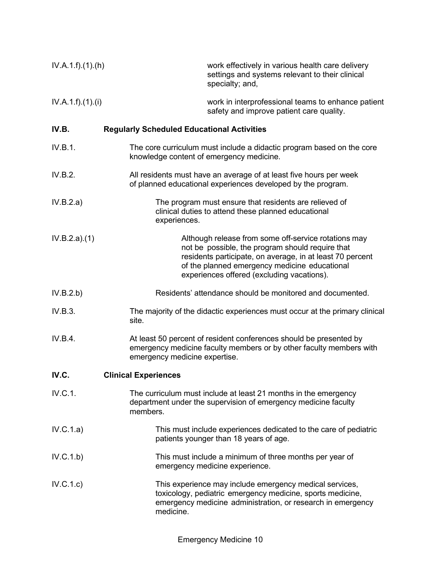| IV.A.1.f)(1).(h)  | work effectively in various health care delivery<br>settings and systems relevant to their clinical<br>specialty; and,                                                                                                                                               |
|-------------------|----------------------------------------------------------------------------------------------------------------------------------------------------------------------------------------------------------------------------------------------------------------------|
| IV.A.1.f).(1).(i) | work in interprofessional teams to enhance patient<br>safety and improve patient care quality.                                                                                                                                                                       |
| IV.B.             | <b>Regularly Scheduled Educational Activities</b>                                                                                                                                                                                                                    |
| IV.B.1.           | The core curriculum must include a didactic program based on the core<br>knowledge content of emergency medicine.                                                                                                                                                    |
| IV.B.2.           | All residents must have an average of at least five hours per week<br>of planned educational experiences developed by the program.                                                                                                                                   |
| IV.B.2.a)         | The program must ensure that residents are relieved of<br>clinical duties to attend these planned educational<br>experiences.                                                                                                                                        |
| IV.B.2.a)(1)      | Although release from some off-service rotations may<br>not be possible, the program should require that<br>residents participate, on average, in at least 70 percent<br>of the planned emergency medicine educational<br>experiences offered (excluding vacations). |
| IV.B.2.b)         | Residents' attendance should be monitored and documented.                                                                                                                                                                                                            |
| IV.B.3.           | The majority of the didactic experiences must occur at the primary clinical<br>site.                                                                                                                                                                                 |
| IV.B.4.           | At least 50 percent of resident conferences should be presented by<br>emergency medicine faculty members or by other faculty members with<br>emergency medicine expertise.                                                                                           |
| IV.C.             | <b>Clinical Experiences</b>                                                                                                                                                                                                                                          |
| IV.C.1.           | The curriculum must include at least 21 months in the emergency<br>department under the supervision of emergency medicine faculty<br>members.                                                                                                                        |
| IV.C.1.a)         | This must include experiences dedicated to the care of pediatric<br>patients younger than 18 years of age.                                                                                                                                                           |
| IV.C.1.b)         | This must include a minimum of three months per year of<br>emergency medicine experience.                                                                                                                                                                            |
| IV.C.1.c)         | This experience may include emergency medical services,<br>toxicology, pediatric emergency medicine, sports medicine,<br>emergency medicine administration, or research in emergency<br>medicine.                                                                    |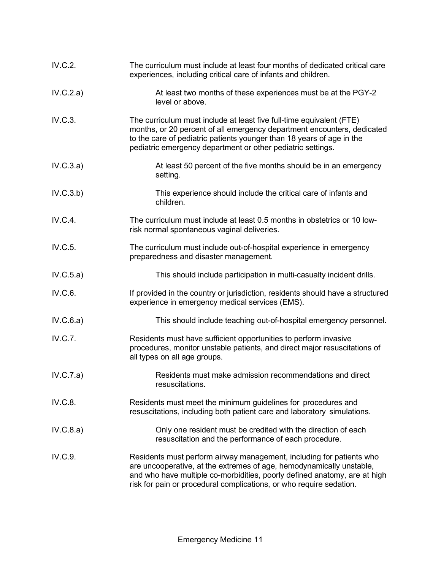| IV.C.2.   | The curriculum must include at least four months of dedicated critical care<br>experiences, including critical care of infants and children.                                                                                                                                                     |
|-----------|--------------------------------------------------------------------------------------------------------------------------------------------------------------------------------------------------------------------------------------------------------------------------------------------------|
| IV.C.2.a) | At least two months of these experiences must be at the PGY-2<br>level or above.                                                                                                                                                                                                                 |
| IV.C.3.   | The curriculum must include at least five full-time equivalent (FTE)<br>months, or 20 percent of all emergency department encounters, dedicated<br>to the care of pediatric patients younger than 18 years of age in the<br>pediatric emergency department or other pediatric settings.          |
| IV.C.3.a) | At least 50 percent of the five months should be in an emergency<br>setting.                                                                                                                                                                                                                     |
| IV.C.3.b) | This experience should include the critical care of infants and<br>children.                                                                                                                                                                                                                     |
| IV.C.4.   | The curriculum must include at least 0.5 months in obstetrics or 10 low-<br>risk normal spontaneous vaginal deliveries.                                                                                                                                                                          |
| IV.C.5.   | The curriculum must include out-of-hospital experience in emergency<br>preparedness and disaster management.                                                                                                                                                                                     |
| IV.C.5.a) | This should include participation in multi-casualty incident drills.                                                                                                                                                                                                                             |
| IV.C.6.   | If provided in the country or jurisdiction, residents should have a structured<br>experience in emergency medical services (EMS).                                                                                                                                                                |
| IV.C.6.a) | This should include teaching out-of-hospital emergency personnel.                                                                                                                                                                                                                                |
| IV.C.7.   | Residents must have sufficient opportunities to perform invasive<br>procedures, monitor unstable patients, and direct major resuscitations of<br>all types on all age groups.                                                                                                                    |
| IV.C.7.a) | Residents must make admission recommendations and direct<br>resuscitations.                                                                                                                                                                                                                      |
| IV.C.8.   | Residents must meet the minimum guidelines for procedures and<br>resuscitations, including both patient care and laboratory simulations.                                                                                                                                                         |
| IV.C.8.a) | Only one resident must be credited with the direction of each<br>resuscitation and the performance of each procedure.                                                                                                                                                                            |
| IV.C.9.   | Residents must perform airway management, including for patients who<br>are uncooperative, at the extremes of age, hemodynamically unstable,<br>and who have multiple co-morbidities, poorly defined anatomy, are at high<br>risk for pain or procedural complications, or who require sedation. |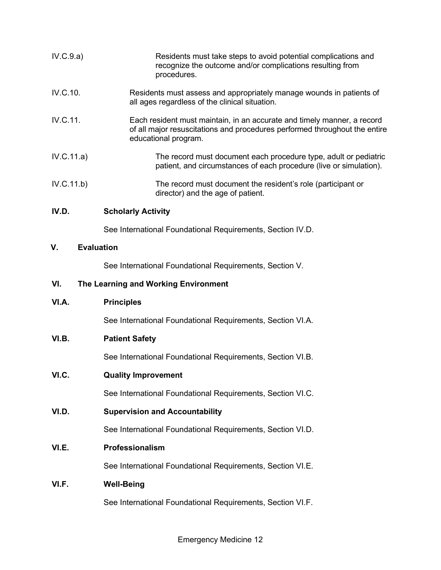| IV.C.9.a)               | Residents must take steps to avoid potential complications and<br>recognize the outcome and/or complications resulting from<br>procedures.                                    |
|-------------------------|-------------------------------------------------------------------------------------------------------------------------------------------------------------------------------|
| IV.C.10.                | Residents must assess and appropriately manage wounds in patients of<br>all ages regardless of the clinical situation.                                                        |
| IV.C.11.                | Each resident must maintain, in an accurate and timely manner, a record<br>of all major resuscitations and procedures performed throughout the entire<br>educational program. |
| IV.C.11.a)              | The record must document each procedure type, adult or pediatric<br>patient, and circumstances of each procedure (live or simulation).                                        |
| IV.C.11.b)              | The record must document the resident's role (participant or<br>director) and the age of patient.                                                                             |
| IV.D.                   | <b>Scholarly Activity</b>                                                                                                                                                     |
|                         | See International Foundational Requirements, Section IV.D.                                                                                                                    |
| ۷.<br><b>Evaluation</b> |                                                                                                                                                                               |
|                         | See International Foundational Requirements, Section V.                                                                                                                       |

### **VI. The Learning and Working Environment**

**VI.A. Principles**

See International Foundational Requirements, Section VI.A.

# **VI.B. Patient Safety**

See International Foundational Requirements, Section VI.B.

# **VI.C. Quality Improvement**

See International Foundational Requirements, Section VI.C.

**VI.D. Supervision and Accountability**

See International Foundational Requirements, Section VI.D.

## **VI.E. Professionalism**

See International Foundational Requirements, Section VI.E.

# **VI.F. Well-Being**

See International Foundational Requirements, Section VI.F.